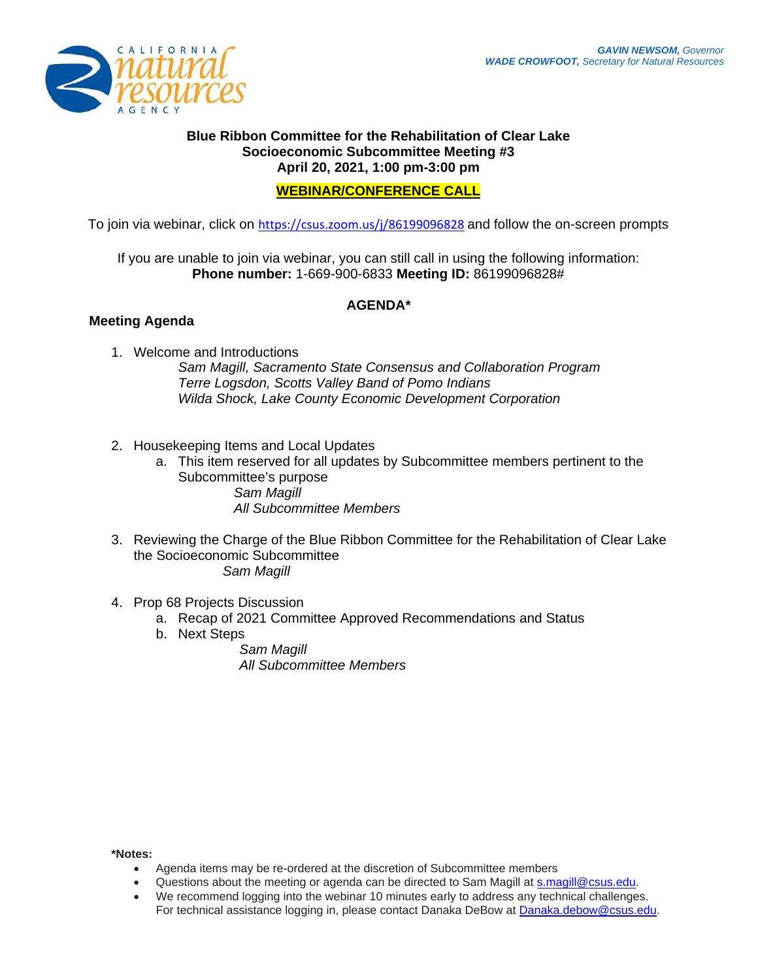

## **Blue Ribbon Committee for the Rehabilitation of Clear Lake Socioeconomic Subcommittee Meeting #3 April 20, 2021, 1:00 pm-3:00 pm**

## **WEBINAR/CONFERENCE CALL**

To join via webinar, click on <https://csus.zoom.us/j/86199096828> and follow the on-screen prompts

If you are unable to join via webinar, you can still call in using the following information: **Phone number:** 1-669-900-6833 **Meeting ID:** 86199096828#

## **AGENDA\***

## **Meeting Agenda**

- 1. Welcome and Introductions *Sam Magill, Sacramento State Consensus and Collaboration Program Terre Logsdon, Scotts Valley Band of Pomo Indians Wilda Shock, Lake County Economic Development Corporation*
- 2. Housekeeping Items and Local Updates
	- a. This item reserved for all updates by Subcommittee members pertinent to the Subcommittee's purpose *Sam Magill All Subcommittee Members*
- 3. Reviewing the Charge of the Blue Ribbon Committee for the Rehabilitation of Clear Lake the Socioeconomic Subcommittee *Sam Magill*
- 4. Prop 68 Projects Discussion
	- a. Recap of 2021 Committee Approved Recommendations and Status
	- b. Next Steps

*Sam Magill All Subcommittee Members* 

**\*Notes:** 

- Agenda items may be re-ordered at the discretion of Subcommittee members
- Questions about the meeting or agenda can be directed to Sam Magill at [s.magill@csus.edu.](mailto:s.magill@csus.edu)
- We recommend logging into the webinar 10 minutes early to address any technical challenges. For technical assistance logging in, please contact Danaka DeBow at [Danaka.debow@csus.edu.](mailto:Danaka.debow@csus.edu)